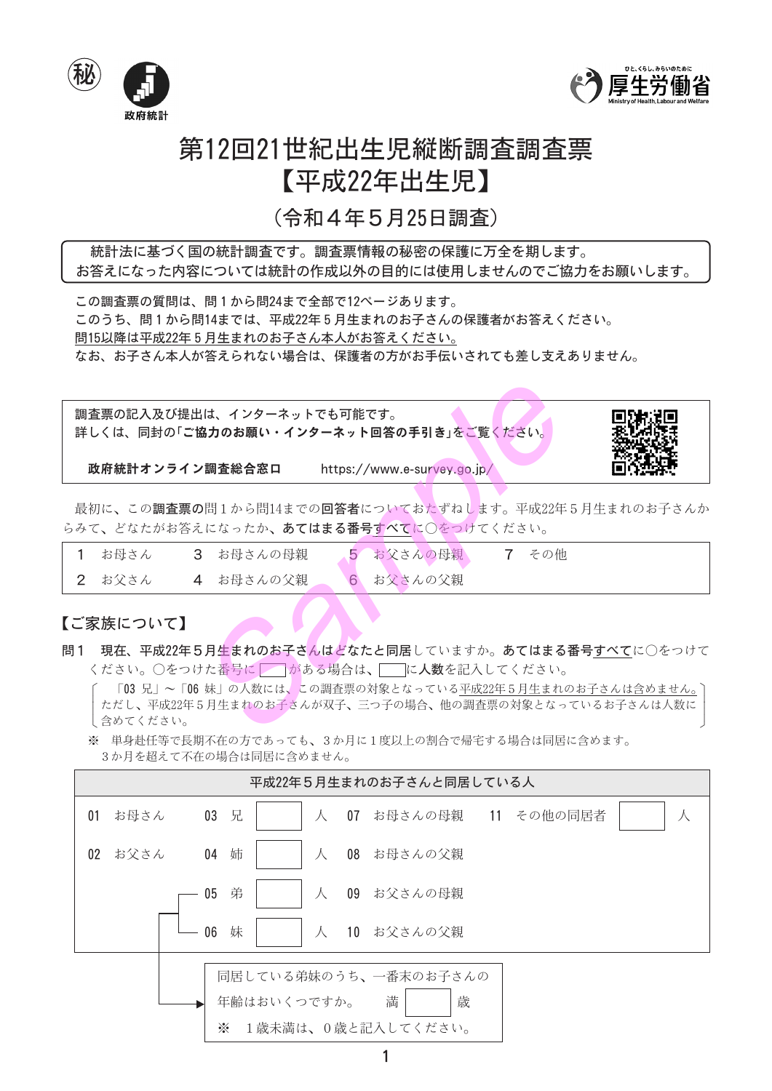



# 第12回21世紀出生児縦断調査調査票 【平成22年出生児】

(令和4年5月25日調査)

統計法に基づく国の統計調査です。調査票情報の秘密の保護に万全を期します。 お答えになった内容については統計の作成以外の目的には使用しませんのでご協力をお願いします。

この調査票の質問は、問1から問24まで全部で12ページあります。 このうち、問1から問14までは、平成22年5月生まれのお子さんの保護者がお答えください。 問15以降は平成22年5月生まれのお子さん本人がお答えください。 なお、お子さん本人が答えられない場合は、保護者の方がお手伝いされても差し支えありません。

調査票の記入及び提出は、インターネットでも可能です。 詳しくは、同封の「ご協力のお願い・インターネット回答の手引き」をご覧ください。

政府統計オンライン調査総合窓口 https://www.e-survey.go.jp/

最初に、この調査票の問1から問14までの回答者についておたずねします。平成22年5月生まれのお子さんか らみて、どなたがお答えになったか、あてはまる番号すべてに○をつけてください。

| お母さん | 3 お母さんの母親 | 5 お父さんの母親 | 7 その他 |
|------|-----------|-----------|-------|
| お父さん | 4 お母さんの父親 | 6 お父さんの父親 |       |

### 【ご家族について】

問1 現在、平成22年5月生まれのお子さんはどなたと同居していますか。あてはまる番号すべてに○をつけて ください。○をつけた番号に■■がある場合は、■■に人数を記入してください。

「03 兄」~「06 妹」の人数には、この調査票の対象となっている平成22年5月生まれのお子さんは含めません。 ただし、平成22年5月生まれのお子さんが双子、三つ子の場合、他の調査票の対象となっているお子さんは人数に し含めてください。

※ 単身赴任等で長期不在の方であっても、3か月に1度以上の割合で帰宅する場合は同居に含めます。 3か月を超えて不在の場合は同居に含めません。

|                 |      | 平成22年5月生まれのお子さんと同居している人                                                   |  |
|-----------------|------|---------------------------------------------------------------------------|--|
| 01              | お母さん | $03$ 兄<br>07 お母さんの母親 11 その他の同居者<br>人<br>人                                 |  |
| 02 <sup>°</sup> | お父さん | 04 姉<br>08 お母さんの父親<br>人                                                   |  |
|                 |      | 弟<br>09 お父さんの母親<br>05<br>$\lambda$                                        |  |
|                 |      | 06<br>妹<br>$\lambda$<br>- 10 お父さんの父親                                      |  |
|                 |      | 同居している弟妹のうち、一番末のお子さんの<br>満<br>歳<br>年齢はおいくつですか。<br>1歳未満は、0歳と記入してください。<br>☀ |  |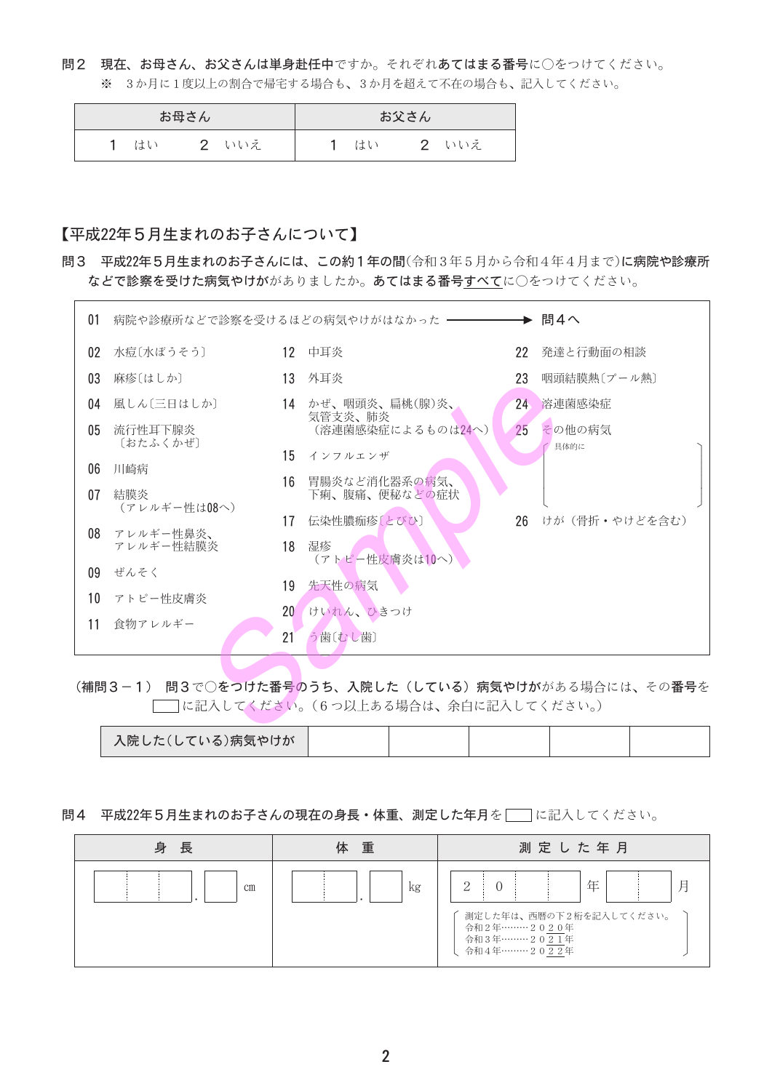### 問2 現在、お母さん、お父さんは単身赴任中ですか。それぞれあてはまる番号に〇をつけてください。 ※ 3か月に1度以上の割合で帰宅する場合も、3か月を超えて不在の場合も、記入してください。

| お母さん |  | お父さん |  |    |  |     |  |
|------|--|------|--|----|--|-----|--|
| はい   |  | いいえ  |  | はい |  | いいえ |  |

### 【平成22年5月生まれのお子さんについて】

問3 平成22年5月生まれのお子さんには、この約1年の間(令和3年5月から令和4年4月まで)に病院や診療所 などで診察を受けた病気やけががありましたか。あてはまる番号すべてに○をつけてください。

| 01              |                     |                 |                                |    |                   |
|-----------------|---------------------|-----------------|--------------------------------|----|-------------------|
| 02              | 水痘〔水ぼうそう〕           |                 | 12 中耳炎                         | 22 | 発達と行動面の相談         |
| 03              | 麻疹〔はしか〕             |                 | 13 外耳炎                         | 23 | 咽頭結膜熱〔プール熱〕       |
| 04              | 風しん〔三日はしか〕          |                 | 14 かぜ、咽頭炎、扁桃(腺)炎、<br>気管支炎、肺炎   | 24 | 溶連菌感染症            |
| 05              | 流行性耳下腺炎<br>〔おたふくかぜ〕 |                 | (溶連菌感染症によるものは24へ)              | 25 | その他の病気            |
| 06              | 川崎病                 |                 | 15 インフルエンザ                     |    | 具体的に              |
| 07              | 結膜炎<br>(アレルギー性は08へ) | 16              | 胃腸炎など消化器系の病気、<br>下痢、腹痛、便秘などの症状 |    |                   |
| 08              | アレルギー性鼻炎、           | 17              | 伝染性膿痂疹〔とびひ〕                    |    | 26 けが (骨折・やけどを含む) |
|                 | アレルギー性結膜炎           |                 | 18 湿疹<br>(アトピー性皮膚炎は10へ)        |    |                   |
| 09              | ぜんそく                | 19              | 先天性の病気                         |    |                   |
| 10 <sup>1</sup> | アトピー性皮膚炎            | 20 <sup>°</sup> | けいれん、ひきつけ                      |    |                   |
| 11              | 食物アレルギー             | 21              | う歯(むし歯)                        |    |                   |
|                 |                     |                 |                                |    |                   |

(補問3-1) 問3で○をつけた番号のうち、入院した(している)病気やけががある場合には、その番号を □□に記入してください。(6つ以上ある場合は、余白に記入してください。)

| 入院した(して/<br>ロか<br>「 る ノ フ/トワ |  |  |  |
|------------------------------|--|--|--|

#### 問4 平成22年5月生まれのお子さんの現在の身長·体重、測定した年月を | に記入してください。

| 身長            | 重<br>体 | 測定した年月                                                                       |  |  |  |  |  |
|---------------|--------|------------------------------------------------------------------------------|--|--|--|--|--|
| <sub>cm</sub> | kg     | 2<br>測定した年は、西暦の下2桁を記入してください。<br>令和2年………2020年<br>令和3年………2021年<br>令和4年………2022年 |  |  |  |  |  |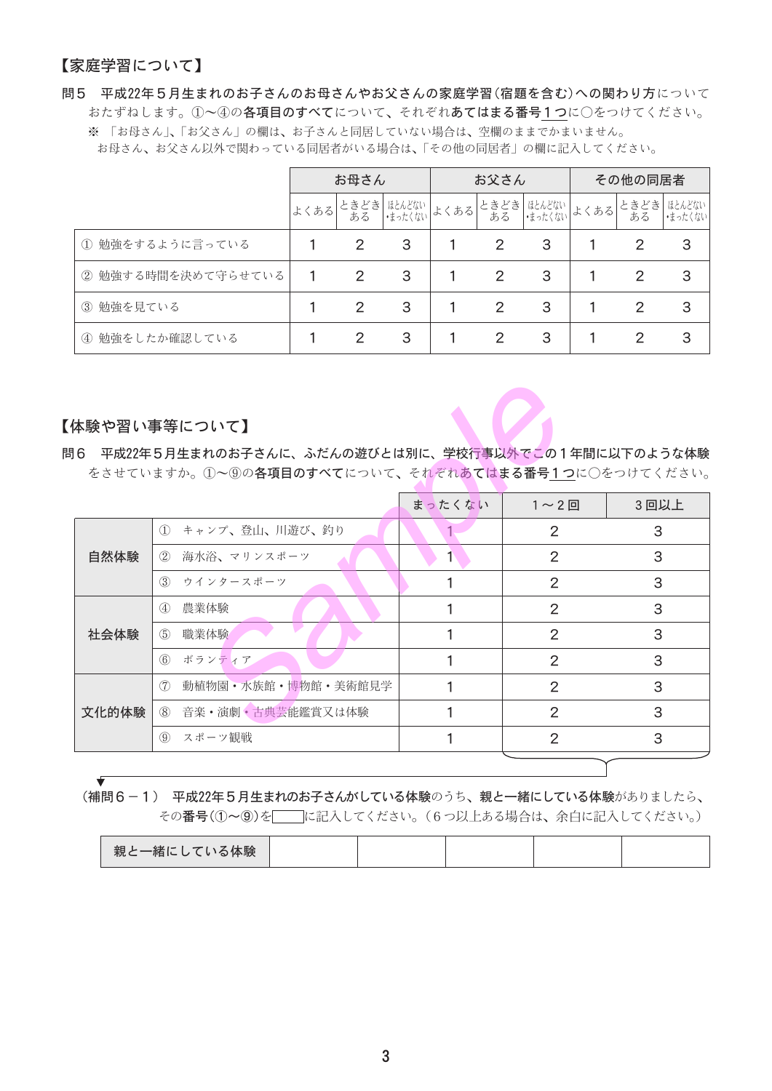### 【家庭学習について】

問5 平成22年5月生まれのお子さんのお母さんやお父さんの家庭学習(宿題を含む)への関わり方について おたずねします。①~④の**各項目のすべて**について、それぞれ**あてはまる番号1つ**に○をつけてください。 ※ 「お母さん」、「お父さん」の欄は、お子さんと同居していない場合は、空欄のままでかまいません。 お母さん、お父さん以外で関わっている同居者がいる場合は、「その他の同居者」の欄に記入してください。

|                     | お母さん |   |                      | お父さん |                       |                         | その他の同居者 |             |                   |
|---------------------|------|---|----------------------|------|-----------------------|-------------------------|---------|-------------|-------------------|
|                     |      |   | よくある ときどき ほんどない よくある |      |                       | ときどき ほんどない<br>ある ほったくない | よくある    | ときどき <br>ある | はとんどない<br>・まったくない |
| ① 勉強をするように言っている     |      | 2 | 3                    |      | 2                     | 3                       |         | 2           | 3                 |
| ② 勉強する時間を決めて守らせている  | 1    | 2 | 3                    |      | $\mathbf{2}^{\prime}$ | 3                       |         | 2           | 3                 |
| 3 勉強を見ている           |      | 2 | 3                    |      | $\overline{2}$        | 3                       |         | 2           | 3                 |
| 勉強をしたか確認している<br>(4) |      | 2 | 3                    |      | 2                     | 3                       |         | 2           | 3                 |

#### 【体験や習い事等について】

| 体験や習い事等について】                                                                                              |                           |        |                |      |  |  |  |  |
|-----------------------------------------------------------------------------------------------------------|---------------------------|--------|----------------|------|--|--|--|--|
| ]6 平成22年5月生まれのお子さんに、ふだんの遊びとは別に、学校行事以外でこの1年間に以下のような体験<br>をさせていますか。①~⑨の各項目のすべてについて、それぞれあてはまる番号1つに○をつけてください。 |                           |        |                |      |  |  |  |  |
|                                                                                                           |                           | まったくない | $1 \sim 2$ 回   | 3回以上 |  |  |  |  |
|                                                                                                           | 1 キャンプ、登山、川遊び、釣り          |        | 2              | 3    |  |  |  |  |
| 自然体験                                                                                                      | 海水浴、マリンスポーツ<br>(2)        | 1      | 2              | 3    |  |  |  |  |
|                                                                                                           | 3 ウインタースポーツ               |        | 2              | 3    |  |  |  |  |
|                                                                                                           | $\circled{4}$<br>農業体験     |        | 2              | 3    |  |  |  |  |
| 社会体験                                                                                                      | $\circled{5}$<br>職業体験     |        | 2              | 3    |  |  |  |  |
|                                                                                                           | 6 ボランティア                  |        | 2              | 3    |  |  |  |  |
|                                                                                                           | (7)<br>動植物園・水族館・博物館・美術館見学 |        | 2              | 3    |  |  |  |  |
| 文化的体験                                                                                                     | ⑧ 音楽・演劇・古典芸能鑑賞又は体験        |        | $\overline{2}$ | 3    |  |  |  |  |
|                                                                                                           | (9) スポーツ観戦                |        | 2              | 3    |  |  |  |  |
|                                                                                                           |                           |        |                |      |  |  |  |  |

### (補問6-1) 平成22年5月生まれのお子さんがしている体験のうち、親と一緒にしている体験がありましたら、 その番号(①~⑨)を | |に記入してください。 (6つ以上ある場合は、余白に記入してください。)

| 親と一緒にしている体験 |
|-------------|
|-------------|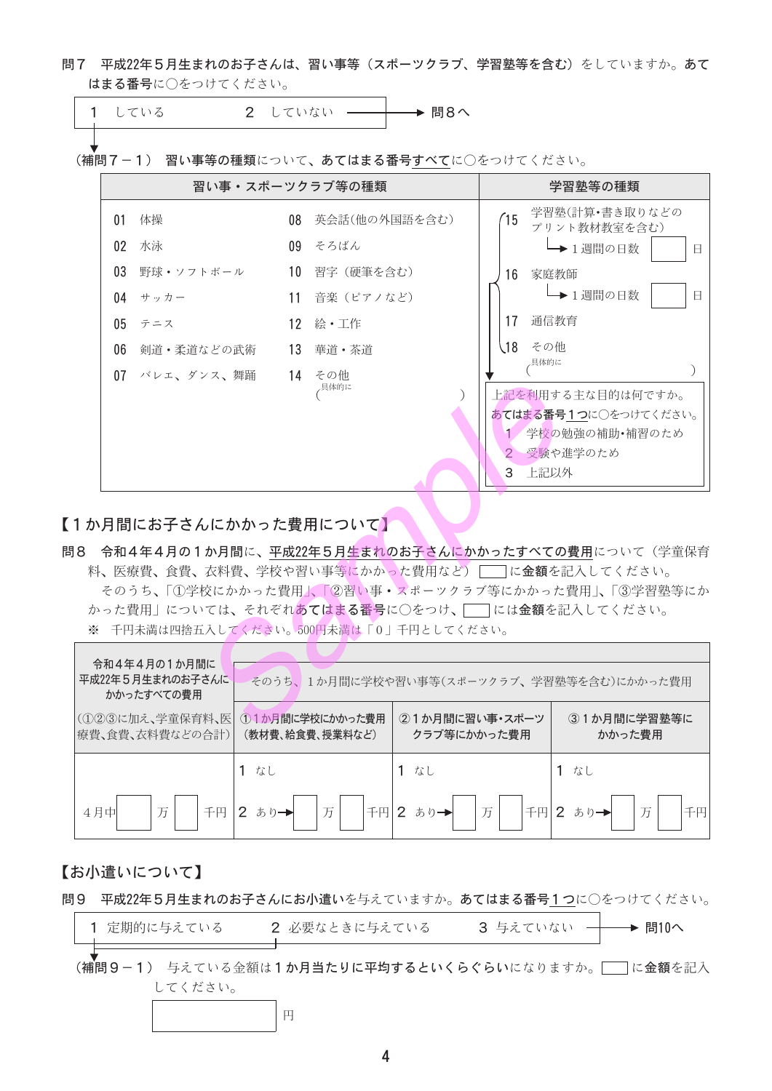問7 平成22年5月生まれのお子さんは、習い事等(スポーツクラブ、学習塾等を含む)をしていますか。あて はまる番号に○をつけてください。

| 1 している | 2 していない ––––––––––––––– 問8へ |  |
|--------|-----------------------------|--|
|        |                             |  |

(補問7-1) 習い事等の種類について、あてはまる番号すべてに○をつけてください。

|                 | 習い事・スポーツクラブ等の種類        |                  |             | 学習塾等の種類                                                                                      |
|-----------------|------------------------|------------------|-------------|----------------------------------------------------------------------------------------------|
| 01              | 体操                     | 08 英会話(他の外国語を含む) | 15          | 学習塾(計算•書き取りなどの<br>プリント教材教室を含む)                                                               |
| 02 <sub>0</sub> | 水泳                     | 09 そろばん          |             | ┗ 1週間の日数<br>Ħ                                                                                |
| 03 <sup>1</sup> | 野球・ソフトボール              | 10 習字(硬筆を含む)     | 16 -        | 家庭教師                                                                                         |
|                 | 04 $#$ $#$ $#$ $#$ $#$ | 11 音楽(ピアノなど)     |             | → 1週間の日数<br>Ħ                                                                                |
|                 | $05 \pm 7$             | 12 絵・工作          | 17          | 通信教育                                                                                         |
| 06              | 剣道・柔道などの武術             | 13 華道・茶道         | $\sqrt{18}$ | その他                                                                                          |
|                 | 07 バレエ、ダンス、舞踊          | 14 その他<br>、具体的に  | 3           | 、具体的に<br>上記を利用する主な目的は何ですか。<br>あてはまる番号1つに○をつけてください。<br>1/学校の勉強の補助•補習のため<br>2 受験や進学のため<br>上記以外 |

【1か月間にお子さんにかかった費用について】

問8 令和4年4月の1か月間に、平成22年5月生まれのお子さんにかかったすべての費用について(学童保育 料、医療費、食費、衣料費、学校や習い事等にかかった費用など) | に金額を記入してください。 そのうち、「①学校にかかった費用」、「②習い事・スポーックラブ等にかかった費用」、「③学習塾等にか かった費用」については、それぞれあてはまる番号に〇をつけ、「–ーには金額を記入してください。 ※ 千円未満は四捨五入してください。500円未満は「0」千円としてください。

| 令和4年4月の1か月間に<br>平成22年5月生まれのお子さんに<br>かかったすべての費用 | そのうち、1か月間に学校や習い事等(スポーツクラブ、学習塾等を含む)にかかった費用 |                               |                       |  |  |  |  |
|------------------------------------------------|-------------------------------------------|-------------------------------|-----------------------|--|--|--|--|
| (①②③に加え、学童保育料、医<br> 療費、食費、衣料費などの合計)            | ①1か月間に学校にかかった費用<br>(教材費、給食費、授業料など)        | ②1か月間に習い事・スポーツ<br>クラブ等にかかった費用 | ③1か月間に学習塾等に<br>かかった費用 |  |  |  |  |
|                                                | 1 なし                                      | なし                            | なし                    |  |  |  |  |
| 万<br>千円<br>4月中                                 | 万<br>千円                                   | 万<br>千円<br>あり→                |                       |  |  |  |  |

#### 【お小遣いについて】

問9 平成22年5月生まれのお子さんにお小遣いを与えていますか。あてはまる番号1つに○をつけてください。

| 1 定期的に与えている | 2 必要なときに与えている | 3 与えていない →→ 問10へ |  |
|-------------|---------------|------------------|--|
|             |               |                  |  |

■■<br>(補問9-1) 与えている金額は1か月当たりに平均するといくらぐらいになりますか。■■に金額を記入 してください。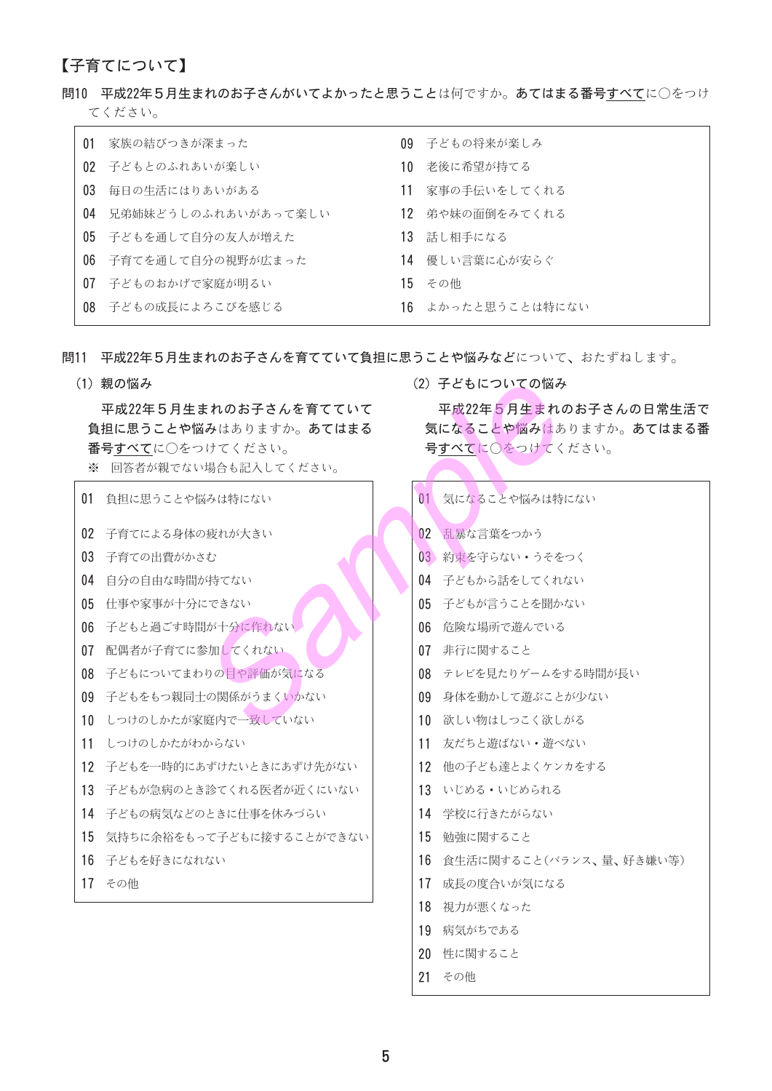### 【子育てについて】

#### 問10 平成22年5月生まれのお子さんがいてよかったと思うことは何ですか。あてはまる番号すべてに○をつけ てください。

| 01 家族の結びつきが深まった        |     | 09 子どもの将来が楽しみ     |
|------------------------|-----|-------------------|
| 02 子どもとのふれあいが楽しい       | 10  | 老後に希望が持てる         |
| 03 毎日の生活にはりあいがある       | 11  | 家事の手伝いをしてくれる      |
| 04 兄弟姉妹どうしのふれあいがあって楽しい | 12. | 弟や妹の面倒をみてくれる      |
| 05 子どもを通して自分の友人が増えた    |     | 13 話し相手になる        |
| 06 子育てを通して自分の視野が広まった   |     | 14 優しい言葉に心が安らぐ    |
| 07 子どものおかげで家庭が明るい      |     | 15 その他            |
| 08 子どもの成長によろこびを感じる     |     | 16 よかったと思うことは特にない |

問11 平成22年5月生まれのお子さんを育てていて負担に思うことや悩みなどについて、おたずねします。

(1) 親の悩み

平成22年5月生まれのお子さんを育てていて 負担に思うことや悩みはありますか。あてはまる 番号すべてに○をつけてください。

※ 回答者が親でない場合も記入してください。

| 01 | 自担に思うことや悩みは特にない          | 01 |
|----|--------------------------|----|
| 02 | 子育てによる身体の疲れが大きい          | 02 |
| 03 | 子育ての出費がかさむ               | 03 |
| 04 | 自分の自由な時間が持てない            | 04 |
| 05 | 仕事や家事が十分にできない            | 05 |
| 06 | 子どもと過ごす時間が十分に作れない        | 06 |
| 07 | 配偶者が子育てに参加してくれない         | 07 |
| 08 | 子どもについてまわりの目や評価が気になる     | 08 |
| 09 | 子どもをもつ親同士の関係がうまくいかない     | 09 |
| 10 | しつけのしかたが家庭内で一致していない      | 10 |
| 11 | しつけのしかたがわからない            | 11 |
| 12 | 子どもを一時的にあずけたいときにあずけ先がない  | 12 |
| 13 | 子どもが急病のとき診てくれる医者が近くにいない  | 13 |
| 14 | - 子どもの病気などのときに什事を休みづらい   | 14 |
| 15 | 気持ちに余裕をもって子どもに接することができない | 15 |
| 16 | - 子どもを好きになれない            | 16 |
| 17 | その他                      | 17 |
|    |                          | 18 |

(2) 子どもについての悩み

平成22年5月生まれのお子さんの日常生活で 気になることや悩みはありますか。あてはまる番 号すべてに○をつけてください。

| 01              | 気になることや悩みは特にない          |
|-----------------|-------------------------|
|                 |                         |
| 02 <sub>2</sub> | 乱暴な言葉をつかう               |
| $03 -$          | 約束を守らない・うそをつく           |
| 04              | 子どもから話をしてくれない           |
| 05              | - 子どもが言うことを聞かない         |
| 06              | 危険な場所で遊んでいる             |
| 07              | 非行に関すること                |
| 08.             | テレビを見たりゲームをする時間が長い      |
| 09              | 身体を動かして游ぶことが少ない         |
| 10              | 欲しい物はしつこく欲しがる           |
| 11              | 友だちと游ばない・游べない           |
| 12 <sup>°</sup> | 他の子ども達とよくケンカをする         |
| 13              | いじめる・いじめられる             |
| 14              | 学校に行きたがらない              |
| 15              | 勉強に関すること                |
| 16              | 食生活に関すること(バランス、量、好き嫌い等) |
| 17              | 成長の度合いが気になる             |
| 18              | 視力が悪くなった                |
| 19              | 病気がちである                 |
| 20.             | 性に関すること                 |
| 21              | その他                     |
|                 |                         |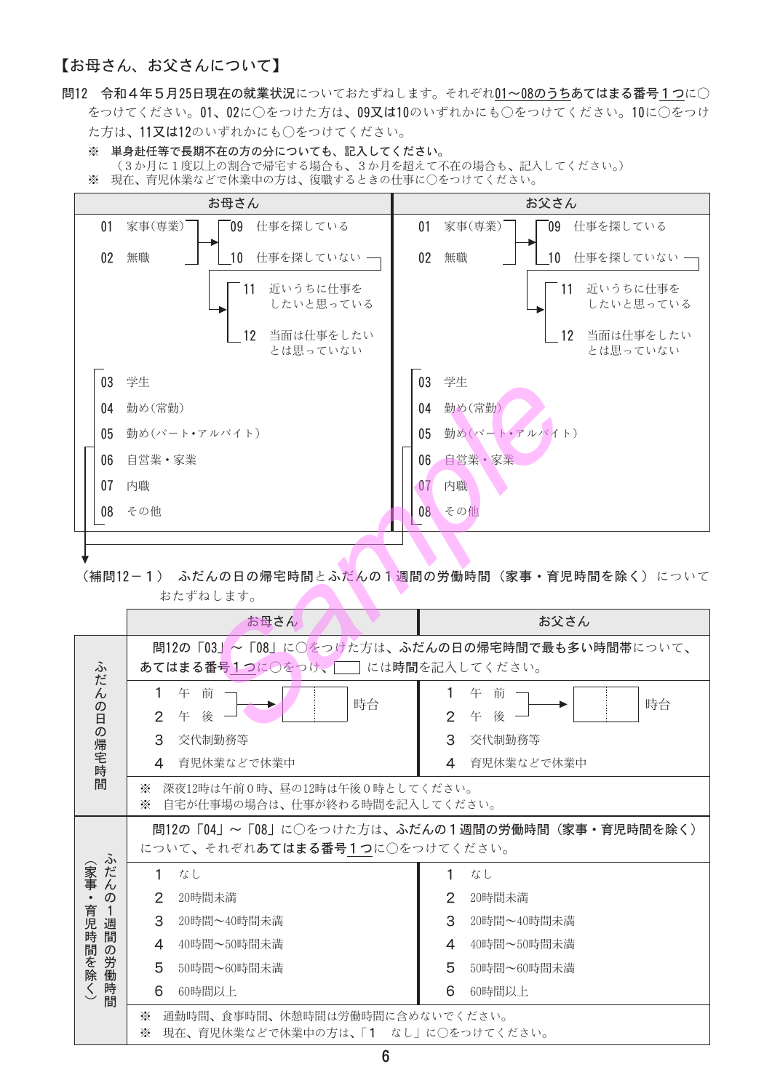### 【お母さん、お父さんについて】

- 問12 令和4年5月25日現在の就業状況についておたずねします。それぞれ01~08のうちあてはまる番号1つに○ をつけてください。01、02に○をつけた方は、09又は10のいずれかにも○をつけてください。10に○をつけ た方は、11又は12のいずれかにも○をつけてください。
	- ※ 単身赴任等で長期不在の方の分についても、記入してください。 (3か月に1度以上の割合で帰宅する場合も、3か月を超えて不在の場合も、記入してください。) ※ 現在、育児休業などで休業中の方は、復職するときの仕事に〇をつけてください。



(補問12-1) ふだんの日の帰宅時間とふだんの1週間の労働時間(家事・育児時間を除く)について おたずねします。

|                                           | お母さん<br>お父さん                                                                   |                                                |  |  |  |  |
|-------------------------------------------|--------------------------------------------------------------------------------|------------------------------------------------|--|--|--|--|
| ふ<br>だ                                    | <b>あてはまる番号1つに○をっけ、■■ には時間を記入してください。</b>                                        | 問12の「03」~「08」に○をつけた方は、ふだんの日の帰宅時間で最も多い時間帯について、  |  |  |  |  |
| $\overline{\mathcal{L}}$<br>の日の帰宅時間       | 午前<br>$\mathbf{1}$<br>時台<br>$\overline{2}$<br>後<br>午                           | 午<br>前<br>1<br>時台<br>2<br>後<br>午               |  |  |  |  |
|                                           | 3<br>交代制勤務等                                                                    | 3<br>交代制勤務等                                    |  |  |  |  |
|                                           | 育児休業などで休業中<br>4                                                                | 育児休業などで休業中<br>4                                |  |  |  |  |
|                                           | 深夜12時は午前0時、昼の12時は午後0時としてください。<br>☀<br>自宅が什事場の場合は、什事が終わる時間を記入してください。<br>☀       |                                                |  |  |  |  |
| ふ                                         | について、それぞれあてはまる番号1つに○をつけてください。                                                  | 問12の「04」~「08」に○をつけた方は、ふだんの1週間の労働時間(家事・育児時間を除く) |  |  |  |  |
| 〈家事<br>だ                                  | 1<br>なし                                                                        | 1<br>なし                                        |  |  |  |  |
| $\overline{\mathcal{L}}$<br>$\mathcal{D}$ | $\mathbf{2}^{\prime}$<br>20時間未満                                                | 2<br>20時間未満                                    |  |  |  |  |
| 育児時<br>週間                                 | 3<br>20時間~40時間未満                                                               | 3<br>20時間~40時間未満                               |  |  |  |  |
| の                                         | 40時間~50時間未満<br>$\overline{4}$                                                  | 40時間~50時間未満<br>4                               |  |  |  |  |
| 「間を除                                      | 5<br>50時間~60時間未満                                                               | 5<br>50時間~60時間未満                               |  |  |  |  |
| 労働時間<br>$\langle$                         | 6<br>60時間以上                                                                    | 6<br>60時間以上                                    |  |  |  |  |
|                                           | ☀<br>通勤時間、食事時間、休憩時間は労働時間に含めないでください。<br>現在、育児休業などで休業中の方は、「1 なし」に○をつけてください。<br>☀ |                                                |  |  |  |  |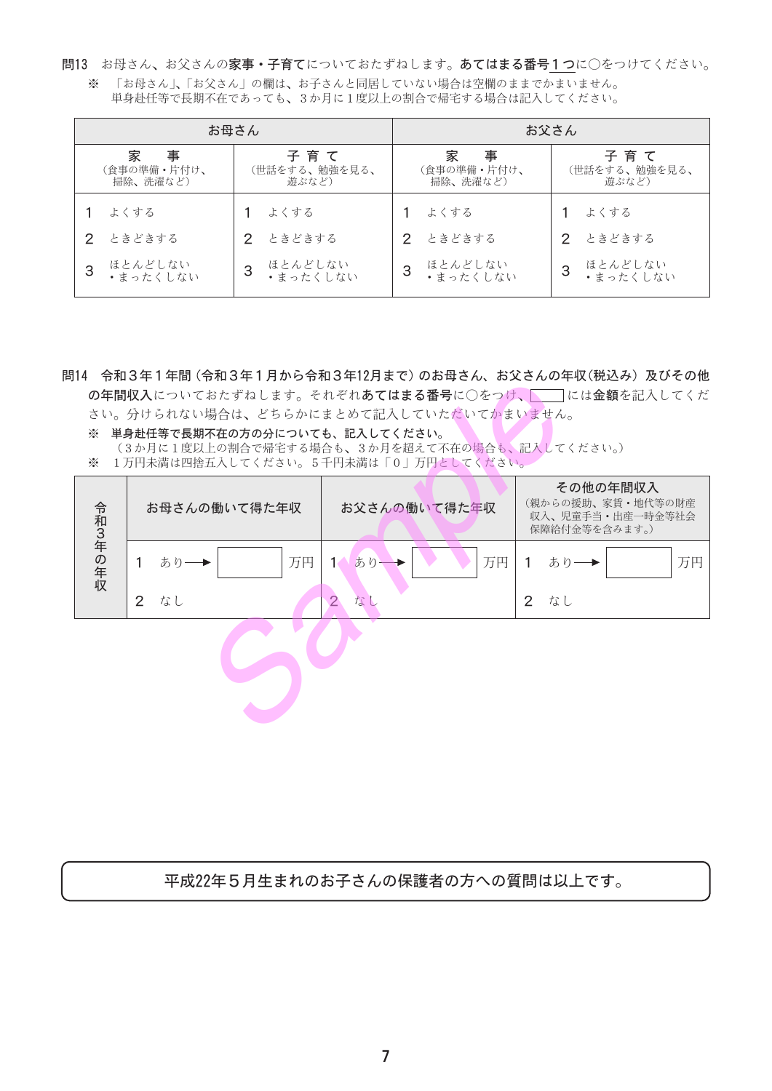問13 お母さん、お父さんの家事•子育てについておたずねします。あてはまる番号1つに○をつけてください。 ※ 「お母さん」、「お父さん」の欄は、お子さんと同居していない場合は空欄のままでかまいません。

単身赴任等で長期不在であっても、3か月に1度以上の割合で帰宅する場合は記入してください。

| お母さん |                                   |   | お父さん                          |   |                                   |    |                               |
|------|-----------------------------------|---|-------------------------------|---|-----------------------------------|----|-------------------------------|
|      | 家<br>事<br>(食事の準備・片付け、<br>掃除、洗濯など) |   | 子育て<br>(世話をする、勉強を見る、<br>游ぶなど) |   | 家<br>事<br>(食事の準備・片付け、<br>掃除、洗濯など) |    | 子育て<br>(世話をする、勉強を見る、<br>遊ぶなど) |
|      | よくする                              |   | よくする                          |   | よくする                              |    | よくする                          |
| 2.   | ときどきする                            |   | 2 ときどきする                      |   | 2 ときどきする                          | 2. | ときどきする                        |
| 3    | ほとんどしない<br>•まったくしない               | 3 | ほとんどしない<br>・まったくしない           | 3 | ほとんどしない<br>・まったくしない               | 3  | ほとんどしない<br>・まったくしない           |

問14 令和3年1年間(令和3年1月から令和3年12月まで)のお母さん、お父さんの年収(税込み)及びその他 の年間収入についておたずねします。それぞれあてはまる番号に○をつけ、■には金額を記入してくだ さい。分けられない場合は、どちらかにまとめて記入していただいてかまいません。

※ 単身赴任等で長期不在の方の分についても、記入してください。 (3か月に1度以上の割合で帰宅する場合も、3か月を超えて不在の場合も、記入してください。) ※ 1万円未満は四捨五入してください。5千円未満は「0」万円としてください。

**START** 

|         | お母さんの働いて得た年収 | お父さんの働いて得た年収   | その他の年間収入<br>(親からの援助、家賃・地代等の財産<br>収入、児童手当·出産一時金等社会<br>保障給付金等を含みます。) |
|---------|--------------|----------------|--------------------------------------------------------------------|
| 令和3年の年収 | 万円           | 万円             | 万円                                                                 |
|         | あり           | あり             | あり─▶                                                               |
|         | なし           | $\overline{2}$ | なし                                                                 |
|         | 2            | なし             | $\overline{2}$                                                     |
|         |              |                |                                                                    |

平成22年5月生まれのお子さんの保護者の方への質問は以上です。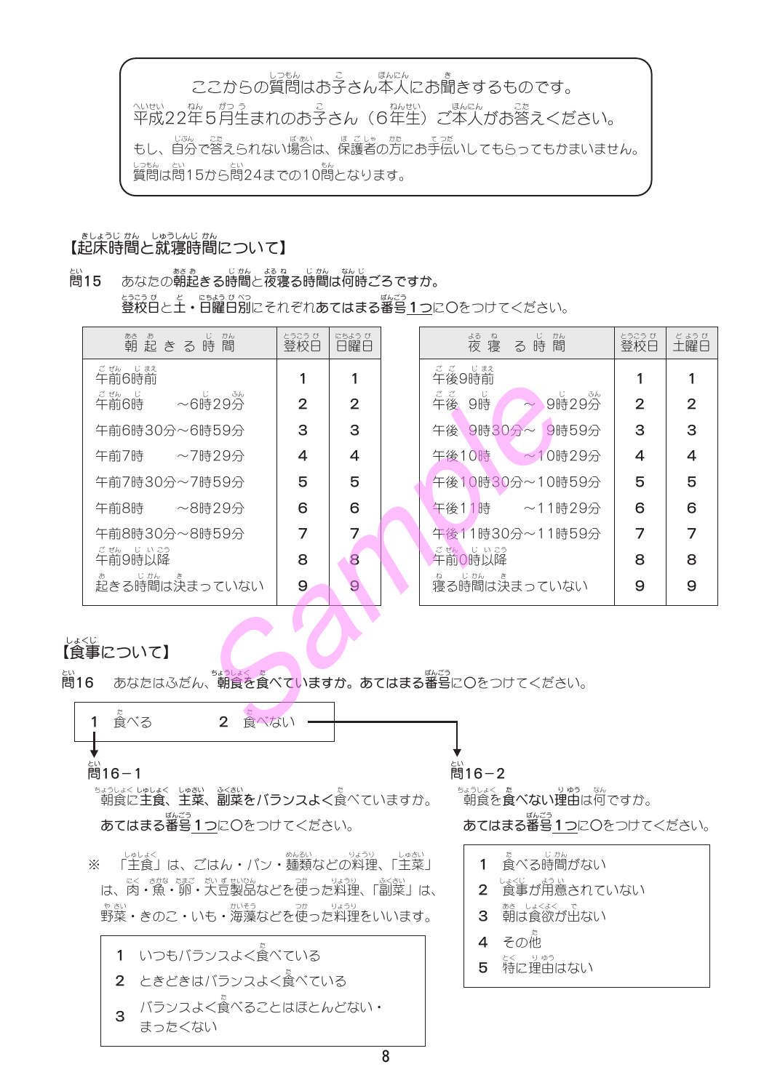ここからの質問はお子さん本人にお聞きするものです。 へいせい <sub>なん がっこ</sub><br>平成22年5月生まれのお子さん (6年生) ご本人がお答えください。 しゃ。<br>質問は問15から問24までの10問となります。

# ましょうじ かん しゅうしんじ かん<br>【起床時間と就寝時間について】

あなたの朝起きる時間と夜寝る時間は何時ごろですか。 **簡15** <u> saaa ซ</u><br>登校日と**土・日曜日別**にそれぞれ**あてはまる番号1つ**に〇をつけてください。

| <sup>あぁ</sup><br>朝 起 き る 時 間                                | とうこう び<br>登校日 | にちよう び<br>日曜日  | る時間<br><sub>ぬ ね</sub><br>夜 寝 | とうこうび<br>登校日   | <sub>どようび</sub><br>土曜日 |
|-------------------------------------------------------------|---------------|----------------|------------------------------|----------------|------------------------|
| て <sub>ぜん</sub> じまえ<br>午前6時前                                |               |                | <sub>ここのはま</sub><br>午後9時前    |                |                        |
| <sub>ごぜん じ</sub><br>午前6時<br>$~10^{11}_{10}$ $~10^{34}_{10}$ | 2             | $\overline{2}$ | ここ<br>午後<br>9時<br>~ 9時29分    | $\overline{2}$ | 2                      |
| 午前6時30分~6時59分                                               | 3             | 3              | 午後 9時30分~ 9時59分              | 3              | З                      |
| 午前7時<br>~7時29分                                              | 4             | 4              | 午後10時<br>$\sim$ 10時29分       | 4              | 4                      |
| 午前7時30分~7時59分                                               | 5             | 5              | 午後10時30分~10時59分              | 5              | 5                      |
| 午前8時 ~8時29分                                                 | 6             | 6              | 午後11時 ~11時29分                | 6              | 6                      |
| 午前8時30分~8時59分                                               |               |                | 午後11時30分~11時59分              | 7              |                        |
| ご <sub>覧</sub><br>午前9時以降                                    | 8             | 8              | ごぜん じいこう<br>午前0時以降           | 8              | 8                      |
| ま<br>起きる時間は決まっていない                                          | 9             |                | ねーじかしょ<br>寝る時間は決まっていない       | 9              | 9                      |

## しょくじ<br>【食事について】

あなたはふだん、朝食を食べていますか。あてはまる番号に〇をつけてください。 高16



まうしょく しゅい みかい みかい<br>朝食に**主食、主菜、副菜をバランスよく**食べていますか。 あてはまる番号1つにOをつけてください。

 $\cdot$ レく さかな たまご だいす せいひん しゃ つか しょうり ふくさい<br>は、肉・魚・卵・大豆製品などを使った料理、「副菜」は、 、もか、<br>野菜・きのこ・いも・海藻などを使った料理をいいます。

1 いつもバランスよく食べている 2 ときどきはバランスよく食べている バランスよく食べることはほとんどない・  $\overline{3}$ まったくない

计16-2

<u>まょうしょく た</u><br>「朝食を**食べない理由**は何ですか。

あてはまる番号1つにOをつけてください。

- た<br>食べる時間がない  $\mathbf{1}$
- 2 食事が用意されていない
- 3 朝は食欲が出ない
- 4 その他
- 5 特に理由はない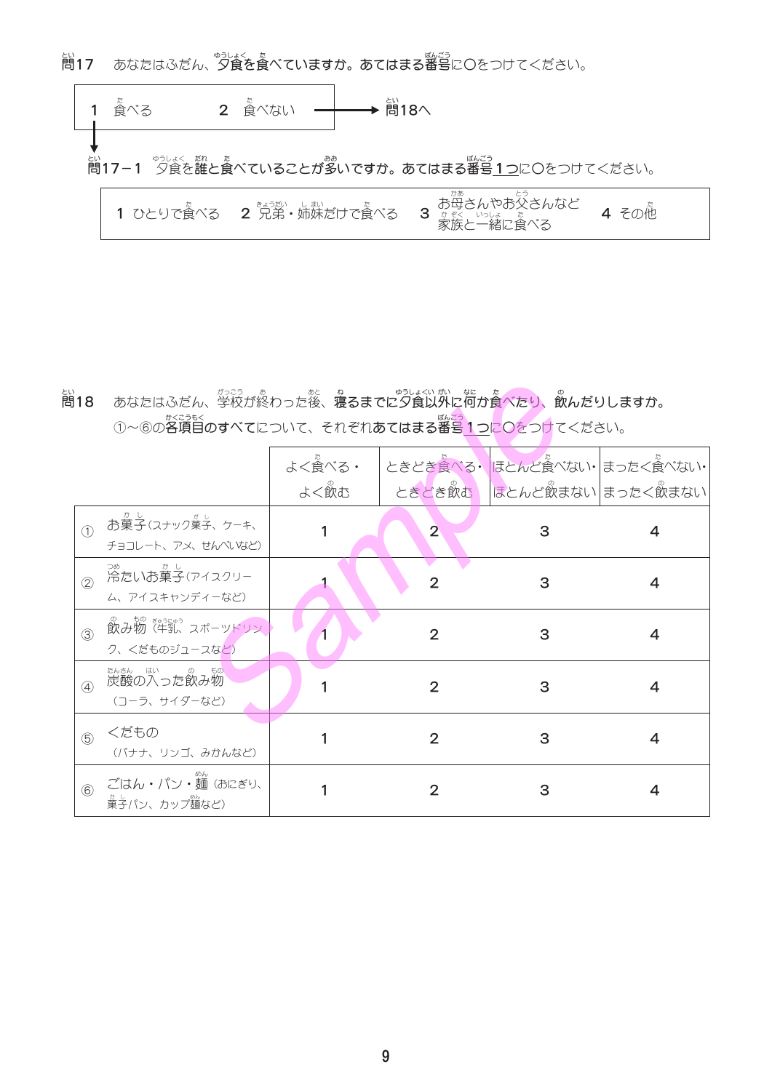とい<br>**問17** あなたはふだん、**夕食を食べていますか。あてはまる番号**に〇をつけてください。

た<br>食べる 2 食べない  $\mathbf{1}$ とい<br>問17-1 夕食を誰と食べていることが多いですか。あてはまる番号1つに〇をつけてください。  $\sqrt{ }$ かあ とう

| <b>3</b> お母さんやお父さんなど<br>3 # #<< いっしょうたい<br>1 ひとりで食べる 2 兄弟・姉妹だけで食べる<br><b>4 その他</b><br>家族と一緒に食べる |  |
|-------------------------------------------------------------------------------------------------|--|
|-------------------------------------------------------------------------------------------------|--|

に、<br>問18 あなたはふだん、学校が終わった後、寝るまでに夕食以外に何か食べたり、飲んだりしますか。 ①~6の各項目のすべてについて、それぞれあてはまる番号1つにOをつけてください。

|               |                                                              | よく食べる・ |                | ときどき食べる・ほとんど食べない・まったく食べない・ |                          |
|---------------|--------------------------------------------------------------|--------|----------------|----------------------------|--------------------------|
|               |                                                              | よく飲む   |                |                            | ときどき飲む ほとんど飲まない まったく飲まない |
| $\bigcirc$    | お菓子(スナック菓子、ケーキ、<br>チョコレート、アメ、せんべいなど)                         |        | $\overline{2}$ | З                          | 4                        |
| (2)           | 。<br>冷たいお菓子(アイスクリー<br>ム、アイスキャンディーなど)                         |        | 2              | З                          | 4                        |
| 3             | <sup>の もの ぎゅうにゅう<br/>飲み物 (牛乳、スポーツドリン)</sup><br>ク、くだものジュースなど) |        | 2              | 3                          | 4                        |
| $\circled{4}$ | 炭酸の入った飲み物<br>(コーラ、サイダーなど)                                    |        | 2              | З                          | 4                        |
| (5)           | くだもの<br>(バナナ、リンゴ、みかんなど)                                      |        | 2              | 3                          | 4                        |
| $\circled6$   | ごはん・パン・麺 (おにぎり、<br>菓子パン、カップ麺など)                              |        |                | З                          |                          |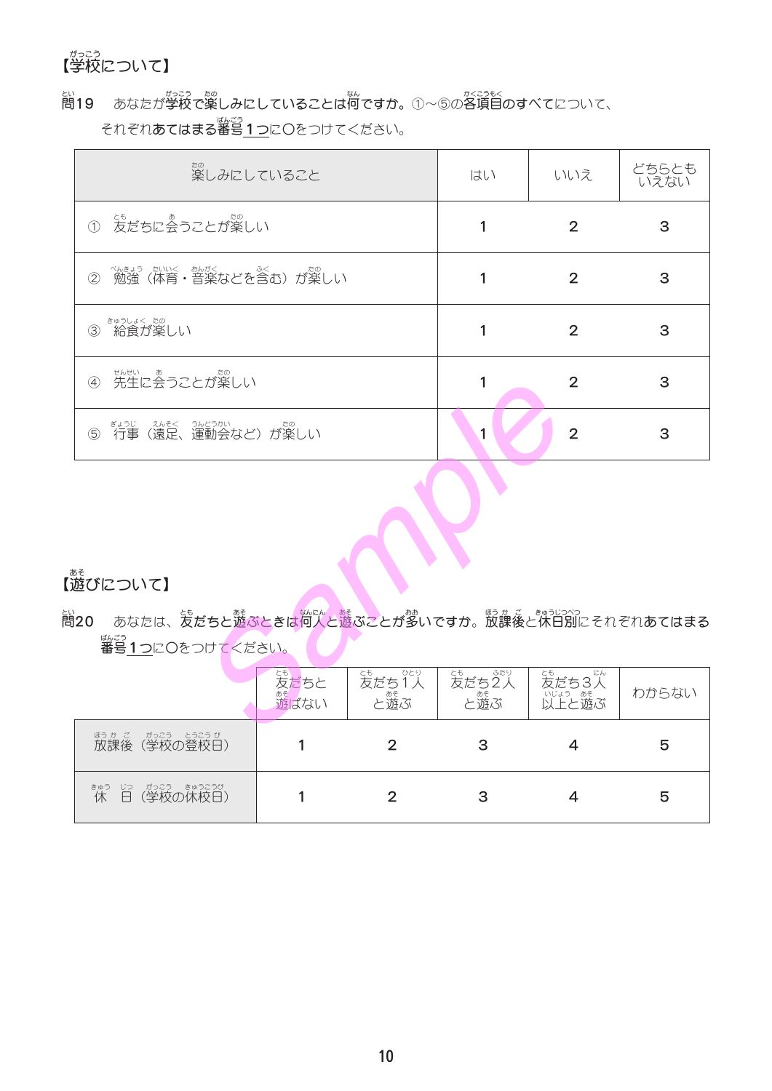# がっこう<br>【学校について】

いい あなたが学校で楽しみにしていることは何ですか。①~⑤の各項目のすべてについて、 問19 あなたが学校で楽しみにしていることは何ですか。 ①~⑤の各項目のすべてについて、 それぞれ**あてはまる番号<u>1つ</u>に〇**をつけてください。

| <sub>たの</sub><br>楽しみにしていること                                          | はい | いいえ            | どちらとも<br>いえない |
|----------------------------------------------------------------------|----|----------------|---------------|
| <u>ょ。</u><br>友だちに会うことが楽しい<br>$\bigcirc$                              |    | $\overline{2}$ | 3             |
| (2)                                                                  |    | $\overline{2}$ | 3             |
| きゅうしょく たの<br>給食が楽しい<br>$\circled{3}$                                 |    | $\overline{2}$ | 3             |
| まんせい<br>先生に会うことが楽しい<br>$\circled{4}$                                 |    | $\overline{2}$ | 3             |
| <sub>まっじ ふそく うんらっかい あるのでの</sub><br>行事 (遠足、運動会など) が楽しい<br>$\circledS$ |    | $\overline{2}$ | 3             |

# 「遊びについて】

に、<br>問20 あなたは、友だちと遊ぶときは何人と遊ぶことが多いですか。放課後と休日別にそれぞれあてはまる <sub>ばんごう</sub><br>番号1つ<mark>に</mark>〇をつけてください。

|                                                             | とも<br>友だちと<br>ぁ<br>遊ばない | ひとり<br>ょ<br>友だち<br>……。<br>と遊ぶ | ま<br>友だち2人<br>こ。<br>と遊ぶ | <sub>とも</sub><br>友だち3人<br>にん<br>いい。ある<br>以上と遊ぶ | わからない |
|-------------------------------------------------------------|-------------------------|-------------------------------|-------------------------|------------------------------------------------|-------|
| がっこう<br>ほうか ご<br>とうこう び<br>放課後<br>(学校の登校日)                  |                         |                               | З                       |                                                | 5     |
| がっこう<br>きゅうこうび<br><sub>きゅう</sub><br>休<br>ら<br>日<br>(学校の休校日) |                         |                               | 3                       |                                                | 5     |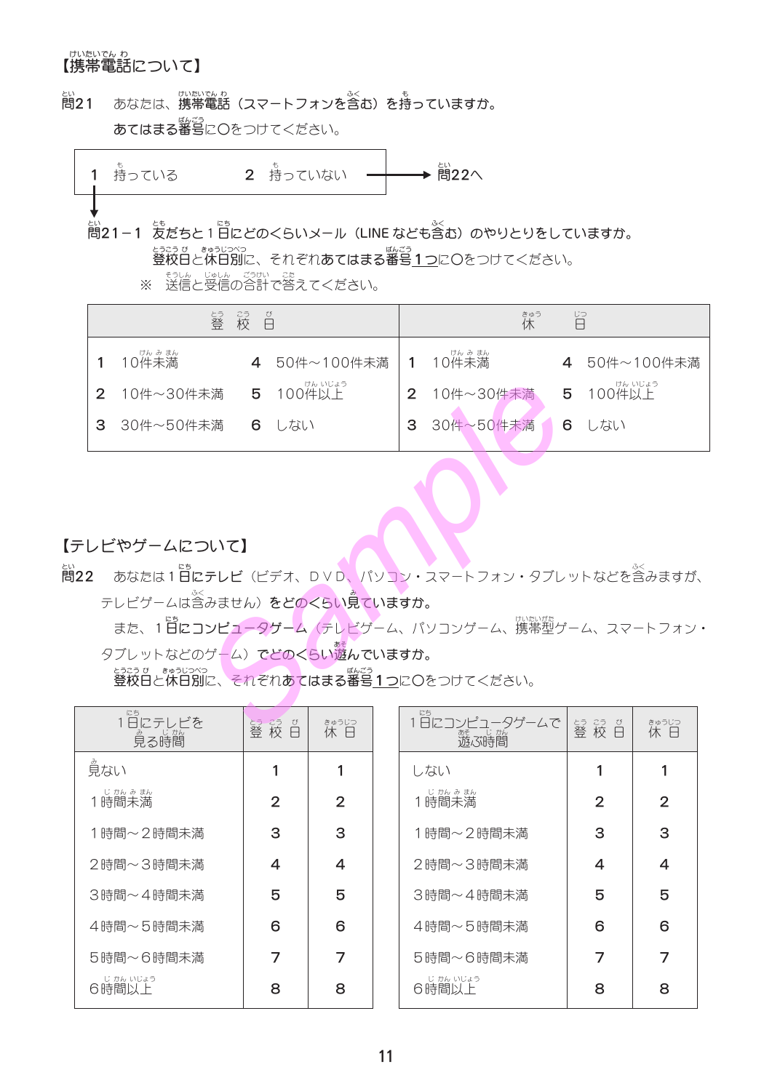# <sub>けいたいでん ゎ</sub><br>【携帯電話について】

あなたは、携帯電話(スマートフォンを含む)を持っていますか。 凯21 あてはまる番号にOをつけてください。



<u>ょっこっ</u><br>**登校日と休日別**に、それぞれ**あてはまる番号<u>1つ</u>に〇をつけてください。** 

※ 送信と受信の合計で答えてください。

| - 25 - び<br>- 校 日<br>とう<br>沓 |              |  | 旨<br><sub>きゅう</sub><br>休 |  |             |  |              |
|------------------------------|--------------|--|--------------------------|--|-------------|--|--------------|
|                              | $10^{th}$ み誌 |  | 4 50件~100件未満 1 10件未満     |  |             |  | 4 50件~100件未満 |
|                              | 2 10件~30件未満  |  | 5 100件以上                 |  | 2 10件~30件未満 |  | 5 100件以上     |
| 3                            | 30件~50件未満    |  | 6 しない                    |  | 3 30件~50件未満 |  | 6 しない        |
|                              |              |  |                          |  |             |  |              |

### 【テレビやゲームについて】

- **簡22** あなたは1日にテレビ (ビデオ、DVD、パソコン・スマートフォン・タブレットなどを含みますが、 テレビゲームは含みません) をどのくらい見ていますか。
	- また、1日にコンピュータゲーム (テレビゲーム、パソコンゲーム、携帯型ゲーム、スマートフォン· タブレットなどのゲーム) でどのくらい遊んでいますか。

<u>とっこって、まゅうしっ</u><br>**登校日と休日別に、それぞれあてはまる番号1つに〇**をつけてください。

| にち<br>1日にテレビを<br><i>。</i><br>見る時間 | 55 25 ひ<br>登校日 | きゅうじつ<br>休日 |
|-----------------------------------|----------------|-------------|
| 見ない                               |                |             |
| じかんみまん<br>1時間未満                   | 2              | 2           |
| 1時間~2時間未満                         | З              | З           |
| 2時間~3時間未満                         | 4              | 4           |
| 3時間~4時間未満                         | 5              | 5           |
| 4時間~5時間未満                         | 6              | 6           |
| 5時間〜6時間未満                         | 7              | 7           |
| じ かん いじょう<br>6時間以上                | 8              | 8           |

| 1日にコンピコ<br>ータゲームで<br>あそ<br>じがん<br>遊ぶ時間 | 55 25 び<br>登校日 | きゅうじつ<br>休 日 |
|----------------------------------------|----------------|--------------|
| しない                                    | 1              |              |
| じかんみまん<br>1時間未満                        | 2              | 2            |
| 1時間~2時間未満                              | З              | З            |
| 2時間~3時間未満                              | 4              | 4            |
| 3時間~4時間未満                              | 5              | 5            |
| 4時間~5時間未満                              | 6              | 6            |
| 5時間~6時間未満                              |                |              |
| じ かん いじょう<br>6時間以上                     | 8              | R            |